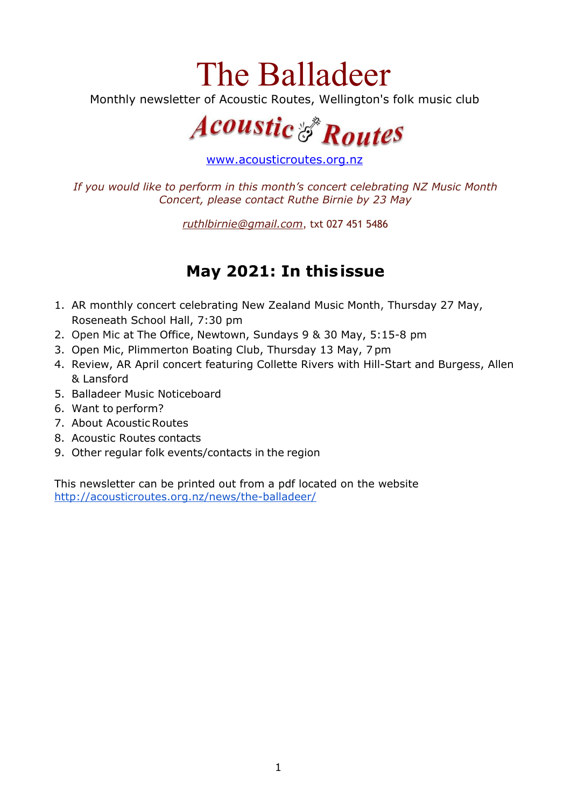# The Balladeer

Monthly newsletter of Acoustic Routes, Wellington's folk music club



[www.acousticroutes.org.nz](http://www.acousticroutes.org.nz/)

*If you would like to perform in this month's concert celebrating NZ Music Month Concert, please contact Ruthe Birnie by 23 May*

*[ruthlbirnie@gmail.com](mailto:ruthlbirnie@gmail.com)*, txt 027 451 5486

## **May 2021: In thisissue**

- 1. AR monthly concert celebrating New Zealand Music Month, Thursday 27 May, Roseneath School Hall, 7:30 pm
- 2. Open Mic at The Office, Newtown, Sundays 9 & 30 May, 5:15-8 pm
- 3. Open Mic, Plimmerton Boating Club, Thursday 13 May, 7 pm
- 4. Review, AR April concert featuring Collette Rivers with Hill-Start and Burgess, Allen & Lansford
- 5. Balladeer Music Noticeboard
- 6. Want to perform?
- 7. About AcousticRoutes
- 8. Acoustic Routes contacts
- 9. Other regular folk events/contacts in the region

This newsletter can be printed out from a pdf located on the website <http://acousticroutes.org.nz/news/the-balladeer/>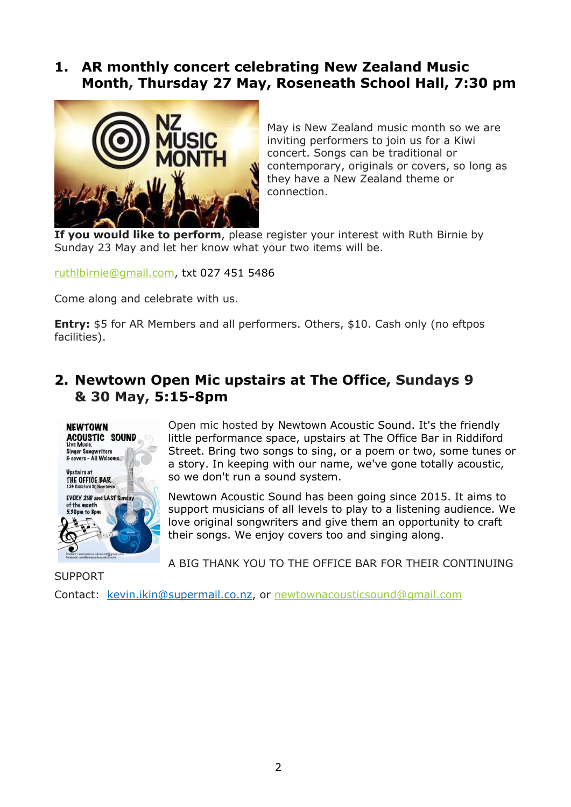## **1. AR monthly concert celebrating New Zealand Music Month, Thursday 27 May, Roseneath School Hall, 7:30 pm**



May is New Zealand music month so we are inviting performers to join us for a Kiwi concert. Songs can be traditional or contemporary, originals or covers, so long as they have a New Zealand theme or connection.

**If you would like to perform**, please register your interest with Ruth Birnie by Sunday 23 May and let her know what your two items will be.

[ruthlbirnie@gmail.com](mailto:ruthlbirnie@gmail.com), txt 027 451 5486

Come along and celebrate with us.

**Entry:** \$5 for AR Members and all performers. Others, \$10. Cash only (no eftpos facilities).

## **2. Newtown Open Mic upstairs at The Office, Sundays 9 & 30 May, 5:15-8pm**



Open mic hosted by Newtown Acoustic Sound. It's the friendly little performance space, upstairs at The Office Bar in Riddiford Street. Bring two songs to sing, or a poem or two, some tunes or a story. In keeping with our name, we've gone totally acoustic, so we don't run a sound system.

Newtown Acoustic Sound has been going since 2015. It aims to support musicians of all levels to play to a listening audience. We love original songwriters and give them an opportunity to craft their songs. We enjoy covers too and singing along.

A BIG THANK YOU TO THE OFFICE BAR FOR THEIR CONTINUING

**SUPPORT** 

Contact: kevin.ikin@supermail.co.nz, or [newtownacousticsound@gmail.com](mailto:newtownacousticsound@gmail.com)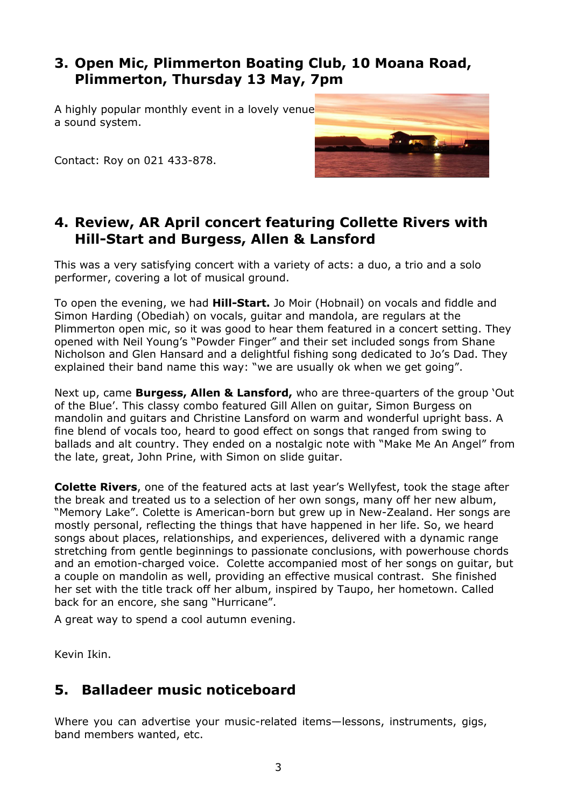## **3. Open Mic, Plimmerton Boating Club, 10 Moana Road, Plimmerton, Thursday 13 May, 7pm**

A highly popular monthly event in a lovely venue a sound system.



Contact: Roy on 021 433-878.

## **4. Review, AR April concert featuring Collette Rivers with Hill-Start and Burgess, Allen & Lansford**

This was a very satisfying concert with a variety of acts: a duo, a trio and a solo performer, covering a lot of musical ground.

To open the evening, we had **Hill-Start.** Jo Moir (Hobnail) on vocals and fiddle and Simon Harding (Obediah) on vocals, guitar and mandola, are regulars at the Plimmerton open mic, so it was good to hear them featured in a concert setting. They opened with Neil Young's "Powder Finger" and their set included songs from Shane Nicholson and Glen Hansard and a delightful fishing song dedicated to Jo's Dad. They explained their band name this way: "we are usually ok when we get going".

Next up, came **Burgess, Allen & Lansford,** who are three-quarters of the group 'Out of the Blue'. This classy combo featured Gill Allen on guitar, Simon Burgess on mandolin and guitars and Christine Lansford on warm and wonderful upright bass. A fine blend of vocals too, heard to good effect on songs that ranged from swing to ballads and alt country. They ended on a nostalgic note with "Make Me An Angel" from the late, great, John Prine, with Simon on slide guitar.

**Colette Rivers**, one of the featured acts at last year's Wellyfest, took the stage after the break and treated us to a selection of her own songs, many off her new album, "Memory Lake". Colette is American-born but grew up in New-Zealand. Her songs are mostly personal, reflecting the things that have happened in her life. So, we heard songs about places, relationships, and experiences, delivered with a dynamic range stretching from gentle beginnings to passionate conclusions, with powerhouse chords and an emotion-charged voice. Colette accompanied most of her songs on guitar, but a couple on mandolin as well, providing an effective musical contrast. She finished her set with the title track off her album, inspired by Taupo, her hometown. Called back for an encore, she sang "Hurricane".

A great way to spend a cool autumn evening.

Kevin Ikin.

## **5. Balladeer music noticeboard**

Where you can advertise your music-related items—lessons, instruments, gigs, band members wanted, etc.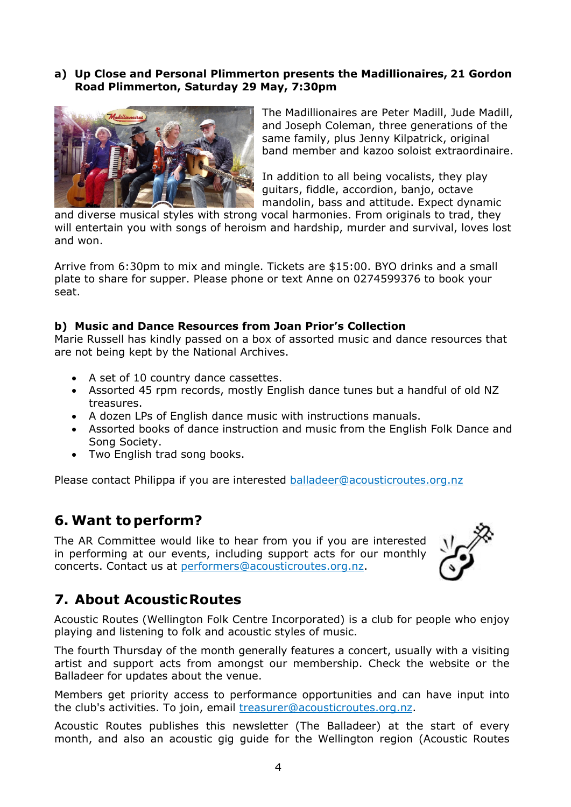#### **a) Up Close and Personal Plimmerton presents the Madillionaires, 21 Gordon Road Plimmerton, Saturday 29 May, 7:30pm**



The Madillionaires are Peter Madill, Jude Madill, and Joseph Coleman, three generations of the same family, plus Jenny Kilpatrick, original band member and kazoo soloist extraordinaire.

In addition to all being vocalists, they play guitars, fiddle, accordion, banjo, octave mandolin, bass and attitude. Expect dynamic

and diverse musical styles with strong vocal harmonies. From originals to trad, they will entertain you with songs of heroism and hardship, murder and survival, loves lost and won.

Arrive from 6:30pm to mix and mingle. Tickets are \$15:00. BYO drinks and a small plate to share for supper. Please phone or text Anne on 0274599376 to book your seat.

#### **b) Music and Dance Resources from Joan Prior's Collection**

Marie Russell has kindly passed on a box of assorted music and dance resources that are not being kept by the National Archives.

- A set of 10 country dance cassettes.
- Assorted 45 rpm records, mostly English dance tunes but a handful of old NZ treasures.
- A dozen LPs of English dance music with instructions manuals.
- Assorted books of dance instruction and music from the English Folk Dance and Song Society.
- Two English trad song books.

Please contact Philippa if you are interested [balladeer@acousticroutes.org.nz](mailto:balladeer@acousticroutes.org.nz)

## **6. Want to perform?**

The AR Committee would like to hear from you if you are interested in performing at our events, including support acts for our monthly concerts. Contact us at [performers@acousticroutes.org.nz.](mailto:performers@acousticroutes.org.nz)



## **7. About AcousticRoutes**

Acoustic Routes (Wellington Folk Centre Incorporated) is a club for people who enjoy playing and listening to folk and acoustic styles of music.

The fourth Thursday of the month generally features a concert, usually with a visiting artist and support acts from amongst our membership. Check the website or the Balladeer for updates about the venue.

Members get priority access to performance opportunities and can have input into the club's activities. To join, email [treasurer@acousticroutes.org.nz](mailto:treasurer@acousticroutes.org.nz).

Acoustic Routes publishes this newsletter (The Balladeer) at the start of every month, and also an acoustic gig guide for the Wellington region (Acoustic Routes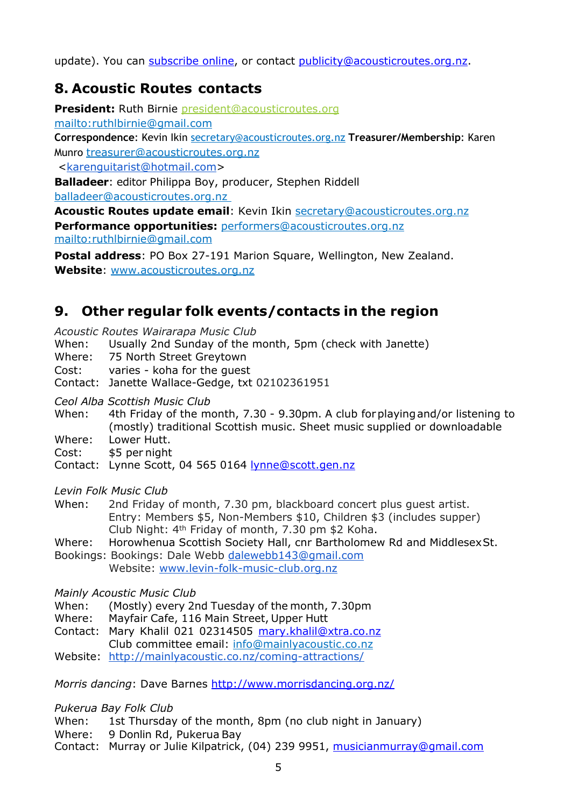update). You can [subscribe](http://eepurl.com/mP90b) online, or contact [publicity@acousticroutes.org.nz.](mailto:publicity@acousticroutes.org.nz)

## **8. Acoustic Routes contacts**

**President:** Ruth Birnie [president@acousticroutes.org](mailto:president@acousticroutes.org) <mailto:ruthlbirnie@gmail.com> **Correspondence**: Kevin Ikin [secretary@acousticroutes.org.nz](mailto:secretary@acousticroutes.org.nz) **Treasurer/Membership**: Karen Munro [treasurer@acousticroutes.org.nz](mailto:treasurer@acousticroutes.org.nz) <[karenguitarist@hotmail.com>](mailto:karenguitarist@hotmail.com) **Balladeer**: editor Philippa Boy, producer, Stephen Riddell

[balladeer@acousticroutes.org.nz](mailto:balladeer@acousticroutes.org.nz)

**Acoustic Routes update email**: Kevin Ikin [secretary@acousticroutes.org.nz](mailto:secretary@acousticroutes.org.nz) **Performance opportunities:** [performers@acousticroutes.org.nz](mailto:performers@acousticroutes.org.nz) <mailto:ruthlbirnie@gmail.com>

**Postal address**: PO Box 27-191 Marion Square, Wellington, New Zealand. **Website**: [www.acousticroutes.org.nz](http://www.acousticroutes.org.nz/)

## **9. Other regular folk events/contacts in the region**

*Acoustic Routes Wairarapa Music Club*

When: Usually 2nd Sunday of the month, 5pm (check with Janette)

Where: 75 North Street Greytown

Cost: varies - koha for the guest

Contact: Janette Wallace-Gedge, txt 02102361951

*Ceol Alba Scottish Music Club*

When: 4th Friday of the month, 7.30 - 9.30pm. A club forplayingand/or listening to (mostly) traditional Scottish music. Sheet music supplied or downloadable

Where: Lower Hutt.

Cost: \$5 per night

Contact: Lynne Scott, 04 565 0164 [lynne@scott.gen.nz](mailto:lynne@scott.gen.nz)

*Levin Folk Music Club*

When: 2nd Friday of month, 7.30 pm, blackboard concert plus guest artist. Entry: Members \$5, Non-Members \$10, Children \$3 (includes supper) Club Night: 4th Friday of month, 7.30 pm \$2 Koha.

Where: Horowhenua Scottish Society Hall, cnr Bartholomew Rd and MiddlesexSt.

Bookings: Bookings: Dale Webb [dalewebb143@gmail.com](mailto:dalewebb143@gmail.com) Website: [www.levin-folk-music-club.org.nz](http://www.levin-folk-music-club.org.nz/)

*Mainly Acoustic Music Club*

- When: (Mostly) every 2nd Tuesday of the month, 7.30pm
- Where: Mayfair Cafe, 116 Main Street, Upper Hutt
- Contact: Mary Khalil 021 02314505 [mary.khalil@xtra.co.nz](mailto:mary.khalil@xtra.co.nz)

Club committee email: [info@mainlyacoustic.co.nz](mailto:info@mainlyacoustic.co.nz)

Website: <http://mainlyacoustic.co.nz/coming-attractions/>

*Morris dancing*: Dave Barnes <http://www.morrisdancing.org.nz/>

*Pukerua Bay Folk Club*

When: 1st Thursday of the month, 8pm (no club night in January)

Where: 9 Donlin Rd, Pukerua Bay

Contact: Murray or Julie Kilpatrick, (04) 239 9951, musicianmurray@gmail.com